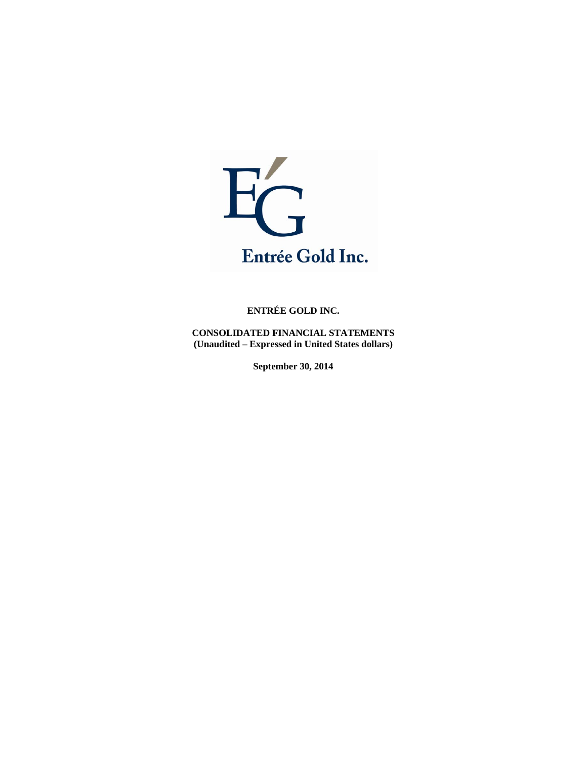

**CONSOLIDATED FINANCIAL STATEMENTS (Unaudited – Expressed in United States dollars)** 

**September 30, 2014**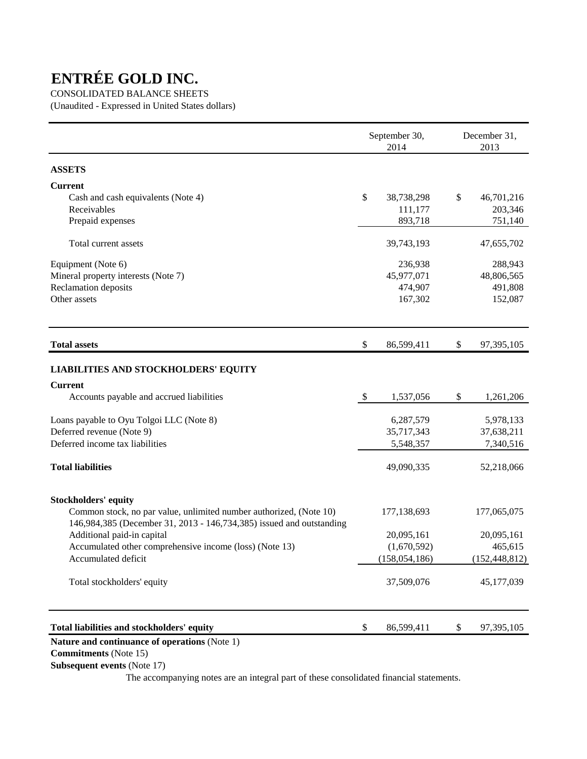# CONSOLIDATED BALANCE SHEETS

(Unaudited - Expressed in United States dollars)

|                                                                      |     | September 30,<br>2014 | December 31,<br>2013 |
|----------------------------------------------------------------------|-----|-----------------------|----------------------|
| <b>ASSETS</b>                                                        |     |                       |                      |
| <b>Current</b>                                                       |     |                       |                      |
| Cash and cash equivalents (Note 4)                                   | \$  | 38,738,298            | \$<br>46,701,216     |
| Receivables                                                          |     | 111,177               | 203,346              |
| Prepaid expenses                                                     |     | 893,718               | 751,140              |
| Total current assets                                                 |     | 39,743,193            | 47,655,702           |
| Equipment (Note 6)                                                   |     | 236,938               | 288,943              |
| Mineral property interests (Note 7)                                  |     | 45,977,071            | 48,806,565           |
| Reclamation deposits                                                 |     | 474,907               | 491,808              |
| Other assets                                                         |     | 167,302               | 152,087              |
| <b>Total assets</b>                                                  | \$  | 86,599,411            | \$<br>97,395,105     |
| <b>LIABILITIES AND STOCKHOLDERS' EQUITY</b>                          |     |                       |                      |
| <b>Current</b>                                                       |     |                       |                      |
| Accounts payable and accrued liabilities                             | -\$ | 1,537,056             | \$<br>1,261,206      |
| Loans payable to Oyu Tolgoi LLC (Note 8)                             |     | 6,287,579             | 5,978,133            |
| Deferred revenue (Note 9)                                            |     | 35,717,343            | 37,638,211           |
| Deferred income tax liabilities                                      |     | 5,548,357             | 7,340,516            |
| <b>Total liabilities</b>                                             |     | 49,090,335            | 52,218,066           |
| <b>Stockholders' equity</b>                                          |     |                       |                      |
| Common stock, no par value, unlimited number authorized, (Note 10)   |     | 177,138,693           | 177,065,075          |
| 146,984,385 (December 31, 2013 - 146,734,385) issued and outstanding |     |                       |                      |
| Additional paid-in capital                                           |     | 20,095,161            | 20,095,161           |
| Accumulated other comprehensive income (loss) (Note 13)              |     | (1,670,592)           | 465,615              |
| Accumulated deficit                                                  |     | (158, 054, 186)       | (152, 448, 812)      |
| Total stockholders' equity                                           |     | 37,509,076            | 45,177,039           |
| Total liabilities and stockholders' equity                           | \$  | 86,599,411            | \$<br>97,395,105     |
| Nature and continuance of operations (Note 1)                        |     |                       |                      |

 **Commitments** (Note 15)

 **Subsequent events** (Note 17)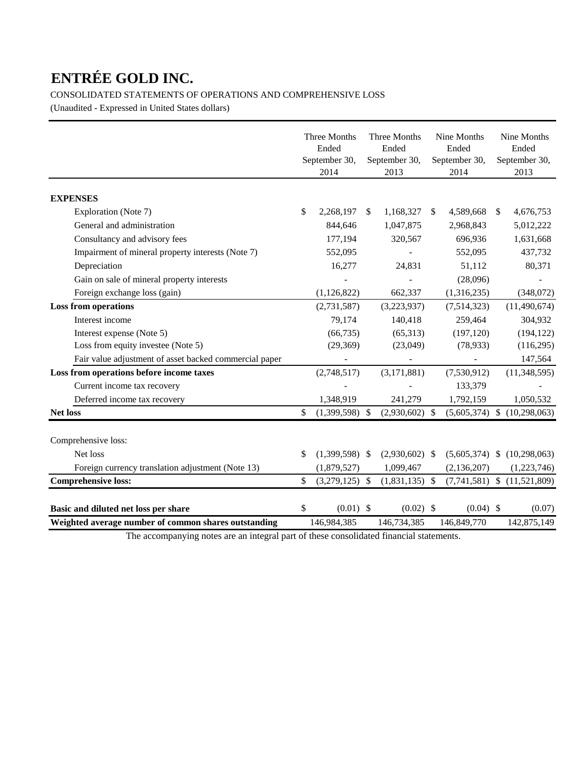CONSOLIDATED STATEMENTS OF OPERATIONS AND COMPREHENSIVE LOSS

(Unaudited - Expressed in United States dollars)

|                                                        | Three Months<br>Ended<br>September 30,<br>2014 | Three Months<br>Ended<br>September 30,<br>2013 |               | Nine Months<br>Ended<br>September 30,<br>2014 |               | Nine Months<br>Ended<br>September 30,<br>2013 |
|--------------------------------------------------------|------------------------------------------------|------------------------------------------------|---------------|-----------------------------------------------|---------------|-----------------------------------------------|
| <b>EXPENSES</b>                                        |                                                |                                                |               |                                               |               |                                               |
| Exploration (Note 7)                                   | \$<br>2,268,197                                | \$<br>1,168,327                                | <sup>\$</sup> | 4,589,668                                     | <sup>\$</sup> | 4,676,753                                     |
| General and administration                             | 844,646                                        | 1,047,875                                      |               | 2,968,843                                     |               | 5,012,222                                     |
| Consultancy and advisory fees                          | 177,194                                        | 320,567                                        |               | 696,936                                       |               | 1,631,668                                     |
| Impairment of mineral property interests (Note 7)      | 552,095                                        |                                                |               | 552,095                                       |               | 437,732                                       |
| Depreciation                                           | 16,277                                         | 24,831                                         |               | 51,112                                        |               | 80,371                                        |
| Gain on sale of mineral property interests             |                                                |                                                |               | (28,096)                                      |               |                                               |
| Foreign exchange loss (gain)                           | (1,126,822)                                    | 662,337                                        |               | (1,316,235)                                   |               | (348,072)                                     |
| <b>Loss from operations</b>                            | (2,731,587)                                    | (3,223,937)                                    |               | (7,514,323)                                   |               | (11, 490, 674)                                |
| Interest income                                        | 79,174                                         | 140,418                                        |               | 259,464                                       |               | 304,932                                       |
| Interest expense (Note 5)                              | (66, 735)                                      | (65,313)                                       |               | (197, 120)                                    |               | (194, 122)                                    |
| Loss from equity investee (Note 5)                     | (29,369)                                       | (23,049)                                       |               | (78, 933)                                     |               | (116, 295)                                    |
| Fair value adjustment of asset backed commercial paper |                                                |                                                |               |                                               |               | 147,564                                       |
| Loss from operations before income taxes               | (2,748,517)                                    | (3, 171, 881)                                  |               | (7,530,912)                                   |               | (11,348,595)                                  |
| Current income tax recovery                            |                                                |                                                |               | 133,379                                       |               |                                               |
| Deferred income tax recovery                           | 1,348,919                                      | 241,279                                        |               | 1,792,159                                     |               | 1,050,532                                     |
| <b>Net loss</b>                                        | \$<br>(1,399,598)                              | \$<br>$(2,930,602)$ \$                         |               |                                               |               | $(5,605,374)$ \$ $(10,298,063)$               |
| Comprehensive loss:                                    |                                                |                                                |               |                                               |               |                                               |
| Net loss                                               | \$<br>$(1,399,598)$ \$                         | $(2,930,602)$ \$                               |               |                                               |               | $(5,605,374)$ \$ $(10,298,063)$               |
| Foreign currency translation adjustment (Note 13)      | (1,879,527)                                    | 1,099,467                                      |               | (2, 136, 207)                                 |               | (1,223,746)                                   |
| <b>Comprehensive loss:</b>                             | \$<br>(3,279,125)                              | \$<br>$(1,831,135)$ \$                         |               |                                               |               | $(7,741,581)$ \$ $(11,521,809)$               |
| Basic and diluted net loss per share                   | \$<br>$(0.01)$ \$                              | $(0.02)$ \$                                    |               | $(0.04)$ \$                                   |               | (0.07)                                        |
| Weighted average number of common shares outstanding   | 146,984,385                                    | 146,734,385                                    |               | 146,849,770                                   |               | 142,875,149                                   |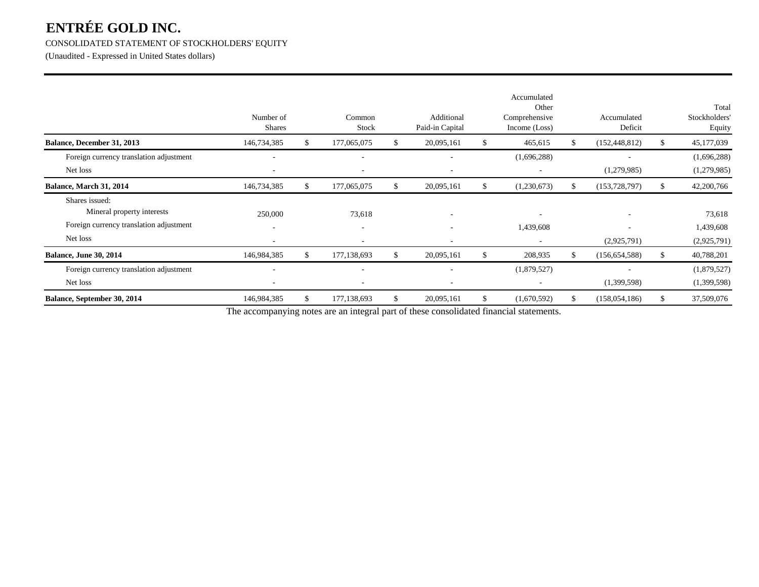# CONSOLIDATED STATEMENT OF STOCKHOLDERS' EQUITY

(Unaudited - Expressed in United States dollars)

|                                                                                                     | Number of<br><b>Shares</b> |    | Common<br>Stock                         |    | Additional<br>Paid-in Capital | Accumulated<br>Other<br>Comprehensive<br>Income (Loss) |    | Accumulated<br>Deficit |    | Total<br>Stockholders<br>Equity    |
|-----------------------------------------------------------------------------------------------------|----------------------------|----|-----------------------------------------|----|-------------------------------|--------------------------------------------------------|----|------------------------|----|------------------------------------|
| Balance, December 31, 2013                                                                          | 146,734,385                | S  | 177,065,075                             | \$ | 20,095,161                    | \$<br>465,615                                          | \$ | (152, 448, 812)        | S. | 45,177,039                         |
| Foreign currency translation adjustment                                                             |                            |    |                                         |    |                               | (1,696,288)                                            |    |                        |    | (1,696,288)                        |
| Net loss                                                                                            |                            |    | ٠                                       |    | $\overline{\phantom{a}}$      |                                                        |    | (1,279,985)            |    | (1,279,985)                        |
| Balance, March 31, 2014                                                                             | 146,734,385                |    | 177,065,075                             | S. | 20,095,161                    | (1,230,673)                                            |    | (153, 728, 797)        |    | 42,200,766                         |
| Shares issued:<br>Mineral property interests<br>Foreign currency translation adjustment<br>Net loss | 250,000                    |    | 73,618<br>$\overline{\phantom{a}}$<br>- |    |                               | 1,439,608                                              |    | (2,925,791)            |    | 73,618<br>1,439,608<br>(2,925,791) |
| <b>Balance, June 30, 2014</b>                                                                       | 146,984,385                | S. | 177,138,693                             | \$ | 20,095,161                    | \$<br>208,935                                          | S  | (156, 654, 588)        | -S | 40,788,201                         |
| Foreign currency translation adjustment<br>Net loss                                                 |                            |    |                                         |    |                               | (1,879,527)                                            |    | (1,399,598)            |    | (1,879,527)<br>(1,399,598)         |
| Balance, September 30, 2014                                                                         | 146,984,385                | -S | 177,138,693                             | S  | 20,095,161                    | (1,670,592)                                            | ж  | (158, 054, 186)        |    | 37,509,076                         |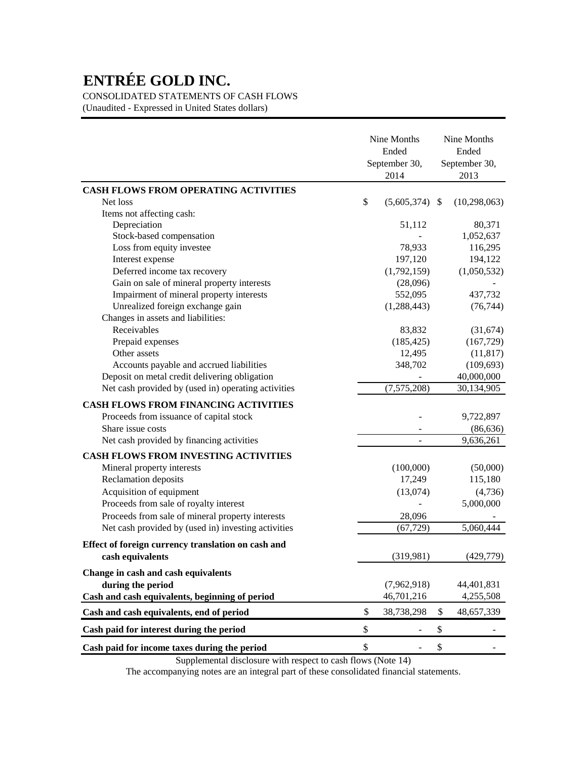CONSOLIDATED STATEMENTS OF CASH FLOWS

(Unaudited - Expressed in United States dollars)

|                                                                                                         | Nine Months<br>Ended<br>September 30,<br>2014 | Nine Months<br>Ended<br>September 30,<br>2013 |
|---------------------------------------------------------------------------------------------------------|-----------------------------------------------|-----------------------------------------------|
| <b>CASH FLOWS FROM OPERATING ACTIVITIES</b>                                                             |                                               |                                               |
| Net loss                                                                                                | \$<br>$(5,605,374)$ \$                        | (10, 298, 063)                                |
| Items not affecting cash:                                                                               |                                               |                                               |
| Depreciation                                                                                            | 51,112                                        | 80,371                                        |
| Stock-based compensation                                                                                |                                               | 1,052,637                                     |
| Loss from equity investee                                                                               | 78,933                                        | 116,295                                       |
| Interest expense                                                                                        | 197,120                                       | 194,122                                       |
| Deferred income tax recovery                                                                            | (1,792,159)                                   | (1,050,532)                                   |
| Gain on sale of mineral property interests                                                              | (28,096)                                      |                                               |
| Impairment of mineral property interests                                                                | 552,095                                       | 437,732                                       |
| Unrealized foreign exchange gain                                                                        | (1,288,443)                                   | (76, 744)                                     |
| Changes in assets and liabilities:                                                                      |                                               |                                               |
| Receivables                                                                                             | 83,832                                        | (31,674)                                      |
| Prepaid expenses                                                                                        | (185, 425)                                    | (167, 729)                                    |
| Other assets                                                                                            | 12,495                                        | (11, 817)                                     |
| Accounts payable and accrued liabilities                                                                | 348,702                                       | (109, 693)                                    |
| Deposit on metal credit delivering obligation                                                           |                                               | 40,000,000                                    |
| Net cash provided by (used in) operating activities                                                     | (7,575,208)                                   | 30,134,905                                    |
| <b>CASH FLOWS FROM FINANCING ACTIVITIES</b>                                                             |                                               |                                               |
| Proceeds from issuance of capital stock                                                                 |                                               | 9,722,897                                     |
| Share issue costs                                                                                       |                                               | (86, 636)                                     |
| Net cash provided by financing activities                                                               |                                               | 9,636,261                                     |
| <b>CASH FLOWS FROM INVESTING ACTIVITIES</b>                                                             |                                               |                                               |
| Mineral property interests                                                                              | (100,000)                                     | (50,000)                                      |
| Reclamation deposits                                                                                    | 17,249                                        | 115,180                                       |
| Acquisition of equipment                                                                                | (13,074)                                      | (4,736)                                       |
| Proceeds from sale of royalty interest                                                                  |                                               | 5,000,000                                     |
|                                                                                                         |                                               |                                               |
| Proceeds from sale of mineral property interests<br>Net cash provided by (used in) investing activities | 28,096<br>(67, 729)                           | 5,060,444                                     |
|                                                                                                         |                                               |                                               |
| Effect of foreign currency translation on cash and                                                      |                                               |                                               |
| cash equivalents                                                                                        | (319,981)                                     | (429,779)                                     |
| Change in cash and cash equivalents                                                                     |                                               |                                               |
| during the period                                                                                       | (7,962,918)                                   | 44,401,831                                    |
| Cash and cash equivalents, beginning of period                                                          | 46,701,216                                    | 4,255,508                                     |
| Cash and cash equivalents, end of period                                                                | \$<br>38,738,298                              | \$<br>48,657,339                              |
| Cash paid for interest during the period                                                                | \$                                            | \$                                            |
| Cash paid for income taxes during the period                                                            | \$                                            | \$                                            |

Supplemental disclosure with respect to cash flows (Note 14)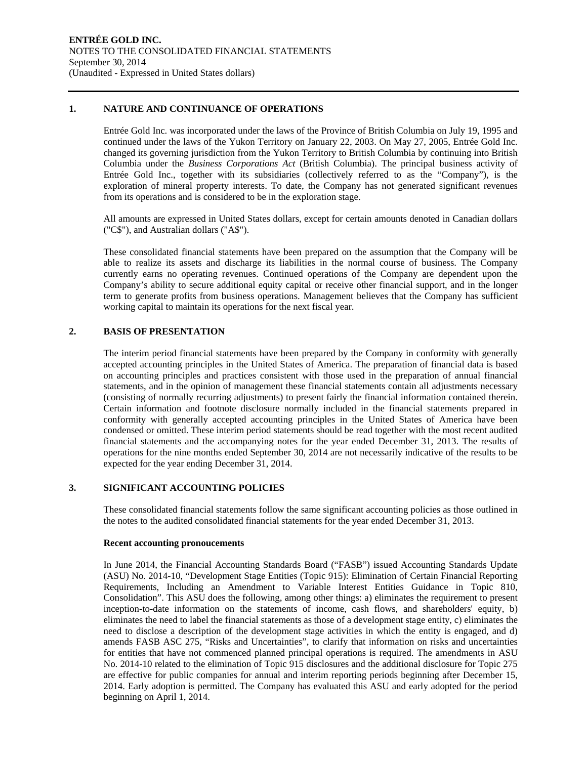#### **1. NATURE AND CONTINUANCE OF OPERATIONS**

Entrée Gold Inc. was incorporated under the laws of the Province of British Columbia on July 19, 1995 and continued under the laws of the Yukon Territory on January 22, 2003. On May 27, 2005, Entrée Gold Inc. changed its governing jurisdiction from the Yukon Territory to British Columbia by continuing into British Columbia under the *Business Corporations Act* (British Columbia). The principal business activity of Entrée Gold Inc., together with its subsidiaries (collectively referred to as the "Company"), is the exploration of mineral property interests. To date, the Company has not generated significant revenues from its operations and is considered to be in the exploration stage.

All amounts are expressed in United States dollars, except for certain amounts denoted in Canadian dollars ("C\$"), and Australian dollars ("A\$").

These consolidated financial statements have been prepared on the assumption that the Company will be able to realize its assets and discharge its liabilities in the normal course of business. The Company currently earns no operating revenues. Continued operations of the Company are dependent upon the Company's ability to secure additional equity capital or receive other financial support, and in the longer term to generate profits from business operations. Management believes that the Company has sufficient working capital to maintain its operations for the next fiscal year.

### **2. BASIS OF PRESENTATION**

The interim period financial statements have been prepared by the Company in conformity with generally accepted accounting principles in the United States of America. The preparation of financial data is based on accounting principles and practices consistent with those used in the preparation of annual financial statements, and in the opinion of management these financial statements contain all adjustments necessary (consisting of normally recurring adjustments) to present fairly the financial information contained therein. Certain information and footnote disclosure normally included in the financial statements prepared in conformity with generally accepted accounting principles in the United States of America have been condensed or omitted. These interim period statements should be read together with the most recent audited financial statements and the accompanying notes for the year ended December 31, 2013. The results of operations for the nine months ended September 30, 2014 are not necessarily indicative of the results to be expected for the year ending December 31, 2014.

# **3. SIGNIFICANT ACCOUNTING POLICIES**

These consolidated financial statements follow the same significant accounting policies as those outlined in the notes to the audited consolidated financial statements for the year ended December 31, 2013.

#### **Recent accounting pronoucements**

In June 2014, the Financial Accounting Standards Board ("FASB") issued Accounting Standards Update (ASU) No. 2014-10, "Development Stage Entities (Topic 915): Elimination of Certain Financial Reporting Requirements, Including an Amendment to Variable Interest Entities Guidance in Topic 810, Consolidation". This ASU does the following, among other things: a) eliminates the requirement to present inception-to-date information on the statements of income, cash flows, and shareholders' equity, b) eliminates the need to label the financial statements as those of a development stage entity, c) eliminates the need to disclose a description of the development stage activities in which the entity is engaged, and d) amends FASB ASC 275, "Risks and Uncertainties", to clarify that information on risks and uncertainties for entities that have not commenced planned principal operations is required. The amendments in ASU No. 2014-10 related to the elimination of Topic 915 disclosures and the additional disclosure for Topic 275 are effective for public companies for annual and interim reporting periods beginning after December 15, 2014. Early adoption is permitted. The Company has evaluated this ASU and early adopted for the period beginning on April 1, 2014.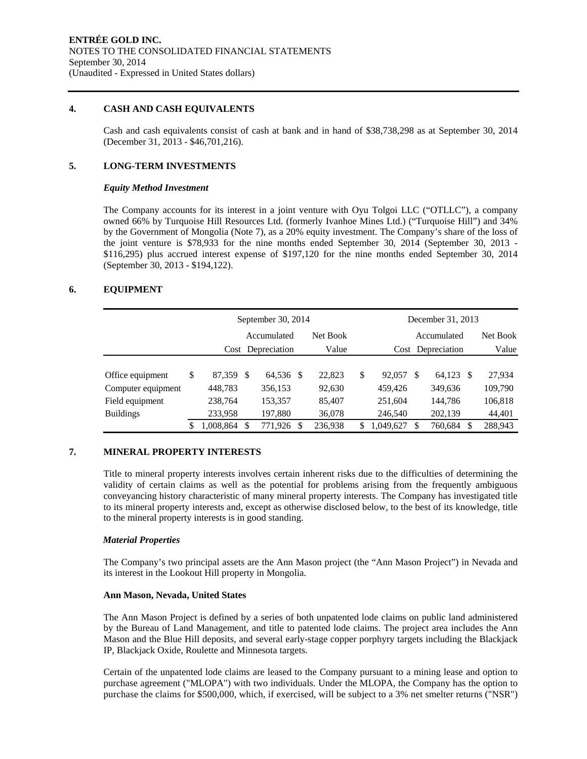### **4. CASH AND CASH EQUIVALENTS**

Cash and cash equivalents consist of cash at bank and in hand of \$38,738,298 as at September 30, 2014 (December 31, 2013 - \$46,701,216).

# **5. LONG-TERM INVESTMENTS**

#### *Equity Method Investment*

The Company accounts for its interest in a joint venture with Oyu Tolgoi LLC ("OTLLC"), a company owned 66% by Turquoise Hill Resources Ltd. (formerly Ivanhoe Mines Ltd.) ("Turquoise Hill") and 34% by the Government of Mongolia (Note 7), as a 20% equity investment. The Company's share of the loss of the joint venture is \$78,933 for the nine months ended September 30, 2014 (September 30, 2013 - \$116,295) plus accrued interest expense of \$197,120 for the nine months ended September 30, 2014 (September 30, 2013 - \$194,122).

# **6. EQUIPMENT**

|                                                                               |    |                                            | September 30, 2014 |                                            |          |                                      | December 31, 2013                             |             |                                                 |                                        |  |
|-------------------------------------------------------------------------------|----|--------------------------------------------|--------------------|--------------------------------------------|----------|--------------------------------------|-----------------------------------------------|-------------|-------------------------------------------------|----------------------------------------|--|
|                                                                               |    |                                            | Accumulated        |                                            | Net Book |                                      |                                               | Accumulated | Net Book                                        |                                        |  |
|                                                                               |    |                                            | Cost Depreciation  |                                            | Value    | Cost Depreciation                    |                                               |             | Value                                           |                                        |  |
| Office equipment<br>Computer equipment<br>Field equipment<br><b>Buildings</b> | \$ | 87,359 \$<br>448,783<br>238,764<br>233,958 |                    | 64,536 \$<br>356,153<br>153,357<br>197,880 |          | 22,823<br>92,630<br>85,407<br>36,078 | \$<br>92,057<br>459,426<br>251,604<br>246,540 | \$.         | 64,123<br>- \$<br>349,636<br>144,786<br>202,139 | 27,934<br>109,790<br>106,818<br>44,401 |  |
|                                                                               | S  | 1,008,864                                  |                    | 771,926                                    | S        | 236,938                              | \$<br>1,049,627                               | \$          | 760,684<br>S                                    | 288,943                                |  |

# **7. MINERAL PROPERTY INTERESTS**

Title to mineral property interests involves certain inherent risks due to the difficulties of determining the validity of certain claims as well as the potential for problems arising from the frequently ambiguous conveyancing history characteristic of many mineral property interests. The Company has investigated title to its mineral property interests and, except as otherwise disclosed below, to the best of its knowledge, title to the mineral property interests is in good standing.

# *Material Properties*

The Company's two principal assets are the Ann Mason project (the "Ann Mason Project") in Nevada and its interest in the Lookout Hill property in Mongolia.

#### **Ann Mason, Nevada, United States**

The Ann Mason Project is defined by a series of both unpatented lode claims on public land administered by the Bureau of Land Management, and title to patented lode claims. The project area includes the Ann Mason and the Blue Hill deposits, and several early-stage copper porphyry targets including the Blackjack IP, Blackjack Oxide, Roulette and Minnesota targets.

Certain of the unpatented lode claims are leased to the Company pursuant to a mining lease and option to purchase agreement ("MLOPA") with two individuals. Under the MLOPA, the Company has the option to purchase the claims for \$500,000, which, if exercised, will be subject to a 3% net smelter returns ("NSR")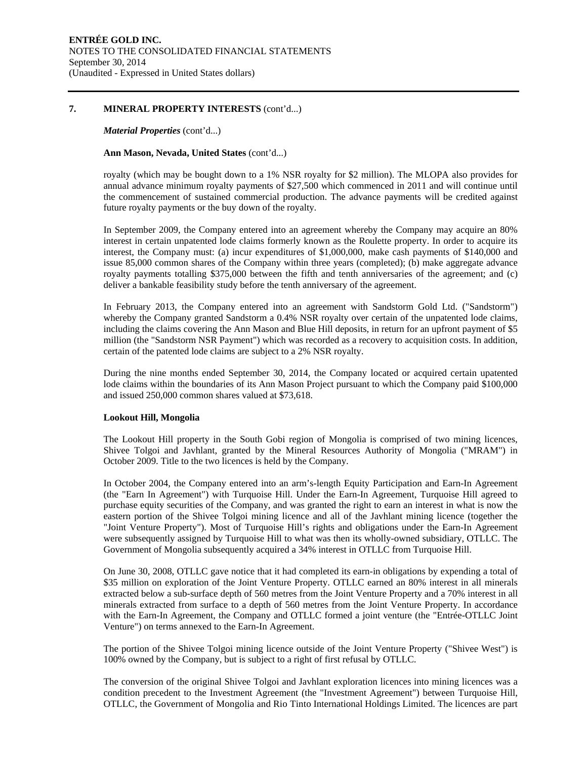#### **7. MINERAL PROPERTY INTERESTS** (cont'd...)

#### *Material Properties* (cont'd...)

#### **Ann Mason, Nevada, United States** (cont'd...)

royalty (which may be bought down to a 1% NSR royalty for \$2 million). The MLOPA also provides for annual advance minimum royalty payments of \$27,500 which commenced in 2011 and will continue until the commencement of sustained commercial production. The advance payments will be credited against future royalty payments or the buy down of the royalty.

In September 2009, the Company entered into an agreement whereby the Company may acquire an 80% interest in certain unpatented lode claims formerly known as the Roulette property. In order to acquire its interest, the Company must: (a) incur expenditures of \$1,000,000, make cash payments of \$140,000 and issue 85,000 common shares of the Company within three years (completed); (b) make aggregate advance royalty payments totalling \$375,000 between the fifth and tenth anniversaries of the agreement; and (c) deliver a bankable feasibility study before the tenth anniversary of the agreement.

In February 2013, the Company entered into an agreement with Sandstorm Gold Ltd. ("Sandstorm") whereby the Company granted Sandstorm a 0.4% NSR royalty over certain of the unpatented lode claims, including the claims covering the Ann Mason and Blue Hill deposits, in return for an upfront payment of \$5 million (the "Sandstorm NSR Payment") which was recorded as a recovery to acquisition costs. In addition, certain of the patented lode claims are subject to a 2% NSR royalty.

During the nine months ended September 30, 2014, the Company located or acquired certain upatented lode claims within the boundaries of its Ann Mason Project pursuant to which the Company paid \$100,000 and issued 250,000 common shares valued at \$73,618.

#### **Lookout Hill, Mongolia**

The Lookout Hill property in the South Gobi region of Mongolia is comprised of two mining licences, Shivee Tolgoi and Javhlant, granted by the Mineral Resources Authority of Mongolia ("MRAM") in October 2009. Title to the two licences is held by the Company.

In October 2004, the Company entered into an arm's-length Equity Participation and Earn-In Agreement (the "Earn In Agreement") with Turquoise Hill. Under the Earn-In Agreement, Turquoise Hill agreed to purchase equity securities of the Company, and was granted the right to earn an interest in what is now the eastern portion of the Shivee Tolgoi mining licence and all of the Javhlant mining licence (together the "Joint Venture Property"). Most of Turquoise Hill's rights and obligations under the Earn-In Agreement were subsequently assigned by Turquoise Hill to what was then its wholly-owned subsidiary, OTLLC. The Government of Mongolia subsequently acquired a 34% interest in OTLLC from Turquoise Hill.

On June 30, 2008, OTLLC gave notice that it had completed its earn-in obligations by expending a total of \$35 million on exploration of the Joint Venture Property. OTLLC earned an 80% interest in all minerals extracted below a sub-surface depth of 560 metres from the Joint Venture Property and a 70% interest in all minerals extracted from surface to a depth of 560 metres from the Joint Venture Property. In accordance with the Earn-In Agreement, the Company and OTLLC formed a joint venture (the "Entrée-OTLLC Joint Venture") on terms annexed to the Earn-In Agreement.

The portion of the Shivee Tolgoi mining licence outside of the Joint Venture Property ("Shivee West") is 100% owned by the Company, but is subject to a right of first refusal by OTLLC.

The conversion of the original Shivee Tolgoi and Javhlant exploration licences into mining licences was a condition precedent to the Investment Agreement (the "Investment Agreement") between Turquoise Hill, OTLLC, the Government of Mongolia and Rio Tinto International Holdings Limited. The licences are part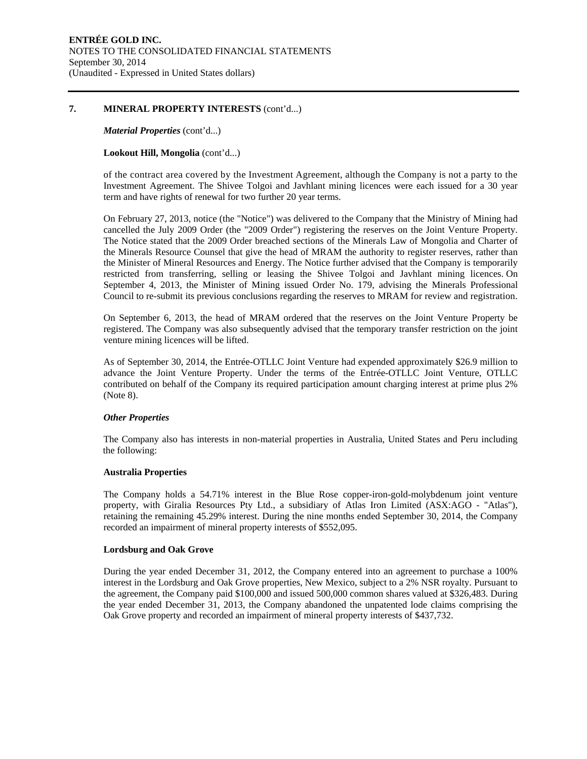#### **7. MINERAL PROPERTY INTERESTS** (cont'd...)

#### *Material Properties* (cont'd...)

# **Lookout Hill, Mongolia** (cont'd...)

of the contract area covered by the Investment Agreement, although the Company is not a party to the Investment Agreement. The Shivee Tolgoi and Javhlant mining licences were each issued for a 30 year term and have rights of renewal for two further 20 year terms.

On February 27, 2013, notice (the "Notice") was delivered to the Company that the Ministry of Mining had cancelled the July 2009 Order (the "2009 Order") registering the reserves on the Joint Venture Property. The Notice stated that the 2009 Order breached sections of the Minerals Law of Mongolia and Charter of the Minerals Resource Counsel that give the head of MRAM the authority to register reserves, rather than the Minister of Mineral Resources and Energy. The Notice further advised that the Company is temporarily restricted from transferring, selling or leasing the Shivee Tolgoi and Javhlant mining licences. On September 4, 2013, the Minister of Mining issued Order No. 179, advising the Minerals Professional Council to re-submit its previous conclusions regarding the reserves to MRAM for review and registration.

On September 6, 2013, the head of MRAM ordered that the reserves on the Joint Venture Property be registered. The Company was also subsequently advised that the temporary transfer restriction on the joint venture mining licences will be lifted.

As of September 30, 2014, the Entrée-OTLLC Joint Venture had expended approximately \$26.9 million to advance the Joint Venture Property. Under the terms of the Entrée-OTLLC Joint Venture, OTLLC contributed on behalf of the Company its required participation amount charging interest at prime plus 2% (Note 8).

# *Other Properties*

The Company also has interests in non-material properties in Australia, United States and Peru including the following:

#### **Australia Properties**

The Company holds a 54.71% interest in the Blue Rose copper-iron-gold-molybdenum joint venture property, with Giralia Resources Pty Ltd., a subsidiary of Atlas Iron Limited (ASX:AGO - "Atlas"), retaining the remaining 45.29% interest. During the nine months ended September 30, 2014, the Company recorded an impairment of mineral property interests of \$552,095.

#### **Lordsburg and Oak Grove**

During the year ended December 31, 2012, the Company entered into an agreement to purchase a 100% interest in the Lordsburg and Oak Grove properties, New Mexico, subject to a 2% NSR royalty. Pursuant to the agreement, the Company paid \$100,000 and issued 500,000 common shares valued at \$326,483. During the year ended December 31, 2013, the Company abandoned the unpatented lode claims comprising the Oak Grove property and recorded an impairment of mineral property interests of \$437,732.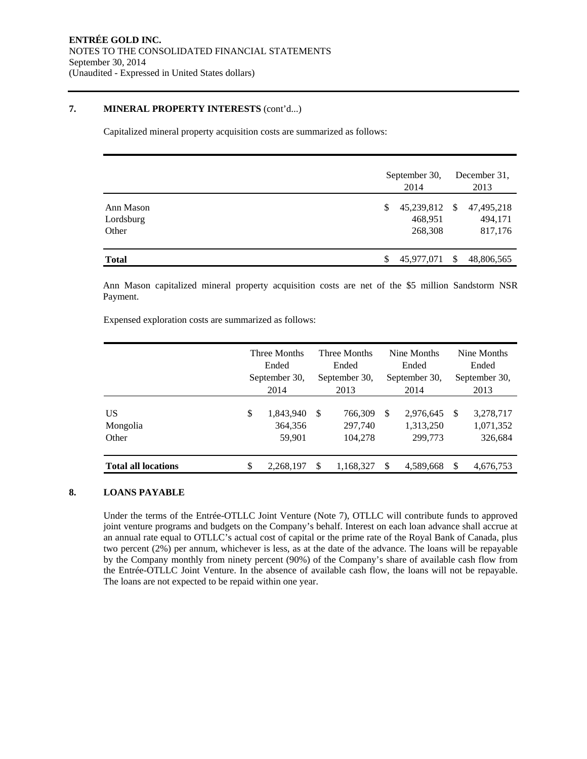### **7. MINERAL PROPERTY INTERESTS** (cont'd...)

Capitalized mineral property acquisition costs are summarized as follows:

|                                 | September 30,<br>2014                  |      | December 31,<br>2013             |
|---------------------------------|----------------------------------------|------|----------------------------------|
| Ann Mason<br>Lordsburg<br>Other | \$<br>45,239,812<br>468,951<br>268,308 | - \$ | 47,495,218<br>494,171<br>817,176 |
| <b>Total</b>                    | 45,977,071                             | -S   | 48,806,565                       |

Ann Mason capitalized mineral property acquisition costs are net of the \$5 million Sandstorm NSR Payment.

Expensed exploration costs are summarized as follows:

|                            | Three Months<br>Ended<br>September 30,<br>2014 |    | Three Months<br>Ended<br>September 30,<br>2013 |   | Nine Months<br>Ended<br>September 30,<br>2014 | Nine Months<br>Ended<br>September 30,<br>2013 |                                   |  |
|----------------------------|------------------------------------------------|----|------------------------------------------------|---|-----------------------------------------------|-----------------------------------------------|-----------------------------------|--|
| US<br>Mongolia<br>Other    | \$<br>1,843,940<br>364,356<br>59.901           | -S | 766,309<br>297,740<br>104.278                  | S | 2,976,645<br>1,313,250<br>299,773             | -S                                            | 3,278,717<br>1,071,352<br>326,684 |  |
| <b>Total all locations</b> | \$<br>2,268,197                                | S  | 1,168,327                                      | S | 4,589,668                                     | S                                             | 4,676,753                         |  |

# **8. LOANS PAYABLE**

Under the terms of the Entrée-OTLLC Joint Venture (Note 7), OTLLC will contribute funds to approved joint venture programs and budgets on the Company's behalf. Interest on each loan advance shall accrue at an annual rate equal to OTLLC's actual cost of capital or the prime rate of the Royal Bank of Canada, plus two percent (2%) per annum, whichever is less, as at the date of the advance. The loans will be repayable by the Company monthly from ninety percent (90%) of the Company's share of available cash flow from the Entrée-OTLLC Joint Venture. In the absence of available cash flow, the loans will not be repayable. The loans are not expected to be repaid within one year.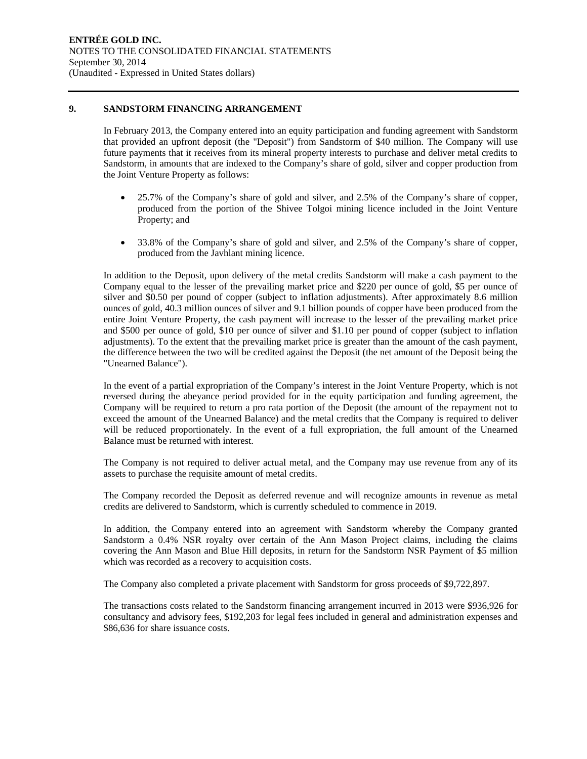#### **9. SANDSTORM FINANCING ARRANGEMENT**

In February 2013, the Company entered into an equity participation and funding agreement with Sandstorm that provided an upfront deposit (the "Deposit") from Sandstorm of \$40 million. The Company will use future payments that it receives from its mineral property interests to purchase and deliver metal credits to Sandstorm, in amounts that are indexed to the Company's share of gold, silver and copper production from the Joint Venture Property as follows:

- 25.7% of the Company's share of gold and silver, and 2.5% of the Company's share of copper, produced from the portion of the Shivee Tolgoi mining licence included in the Joint Venture Property; and
- 33.8% of the Company's share of gold and silver, and 2.5% of the Company's share of copper, produced from the Javhlant mining licence.

In addition to the Deposit, upon delivery of the metal credits Sandstorm will make a cash payment to the Company equal to the lesser of the prevailing market price and \$220 per ounce of gold, \$5 per ounce of silver and \$0.50 per pound of copper (subject to inflation adjustments). After approximately 8.6 million ounces of gold, 40.3 million ounces of silver and 9.1 billion pounds of copper have been produced from the entire Joint Venture Property, the cash payment will increase to the lesser of the prevailing market price and \$500 per ounce of gold, \$10 per ounce of silver and \$1.10 per pound of copper (subject to inflation adjustments). To the extent that the prevailing market price is greater than the amount of the cash payment, the difference between the two will be credited against the Deposit (the net amount of the Deposit being the "Unearned Balance").

In the event of a partial expropriation of the Company's interest in the Joint Venture Property, which is not reversed during the abeyance period provided for in the equity participation and funding agreement, the Company will be required to return a pro rata portion of the Deposit (the amount of the repayment not to exceed the amount of the Unearned Balance) and the metal credits that the Company is required to deliver will be reduced proportionately. In the event of a full expropriation, the full amount of the Unearned Balance must be returned with interest.

The Company is not required to deliver actual metal, and the Company may use revenue from any of its assets to purchase the requisite amount of metal credits.

The Company recorded the Deposit as deferred revenue and will recognize amounts in revenue as metal credits are delivered to Sandstorm, which is currently scheduled to commence in 2019.

In addition, the Company entered into an agreement with Sandstorm whereby the Company granted Sandstorm a 0.4% NSR royalty over certain of the Ann Mason Project claims, including the claims covering the Ann Mason and Blue Hill deposits, in return for the Sandstorm NSR Payment of \$5 million which was recorded as a recovery to acquisition costs.

The Company also completed a private placement with Sandstorm for gross proceeds of \$9,722,897.

The transactions costs related to the Sandstorm financing arrangement incurred in 2013 were \$936,926 for consultancy and advisory fees, \$192,203 for legal fees included in general and administration expenses and \$86,636 for share issuance costs.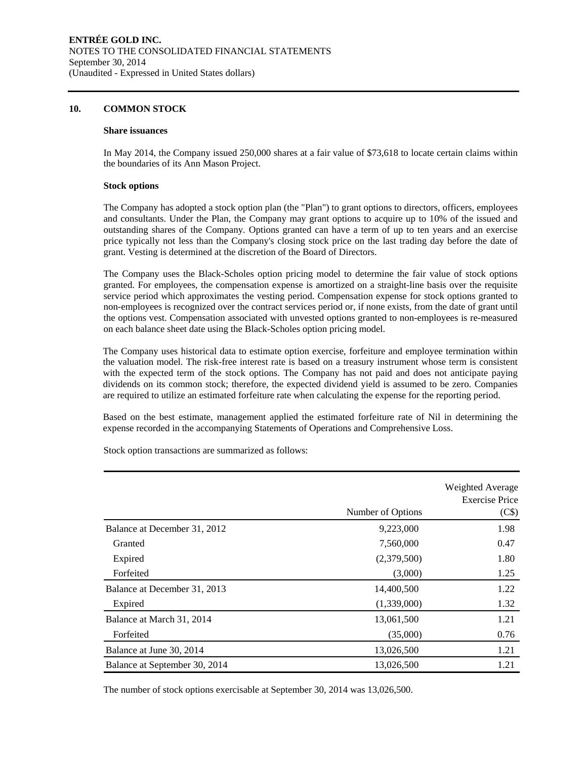#### **10. COMMON STOCK**

#### **Share issuances**

In May 2014, the Company issued 250,000 shares at a fair value of \$73,618 to locate certain claims within the boundaries of its Ann Mason Project.

#### **Stock options**

The Company has adopted a stock option plan (the "Plan") to grant options to directors, officers, employees and consultants. Under the Plan, the Company may grant options to acquire up to 10% of the issued and outstanding shares of the Company. Options granted can have a term of up to ten years and an exercise price typically not less than the Company's closing stock price on the last trading day before the date of grant. Vesting is determined at the discretion of the Board of Directors.

The Company uses the Black-Scholes option pricing model to determine the fair value of stock options granted. For employees, the compensation expense is amortized on a straight-line basis over the requisite service period which approximates the vesting period. Compensation expense for stock options granted to non-employees is recognized over the contract services period or, if none exists, from the date of grant until the options vest. Compensation associated with unvested options granted to non-employees is re-measured on each balance sheet date using the Black-Scholes option pricing model.

The Company uses historical data to estimate option exercise, forfeiture and employee termination within the valuation model. The risk-free interest rate is based on a treasury instrument whose term is consistent with the expected term of the stock options. The Company has not paid and does not anticipate paying dividends on its common stock; therefore, the expected dividend yield is assumed to be zero. Companies are required to utilize an estimated forfeiture rate when calculating the expense for the reporting period.

Based on the best estimate, management applied the estimated forfeiture rate of Nil in determining the expense recorded in the accompanying Statements of Operations and Comprehensive Loss.

Number of Options Weighted Average Exercise Price (C\$) Balance at December 31, 2012 9,223,000 9,223,000 1.98 Granted 0.47 0.47 Expired (2,379,500) 1.80 Forfeited (3,000) 1.25 Balance at December 31, 2013 14,400,500 1.22 Expired (1,339,000) 1.32 Balance at March 31, 2014 13,061,500 1.21 Forfeited (35,000) 0.76 Balance at June 30, 2014 13,026,500 1.21 Balance at September 30, 2014 13,026,500 1.21

Stock option transactions are summarized as follows:

The number of stock options exercisable at September 30, 2014 was 13,026,500.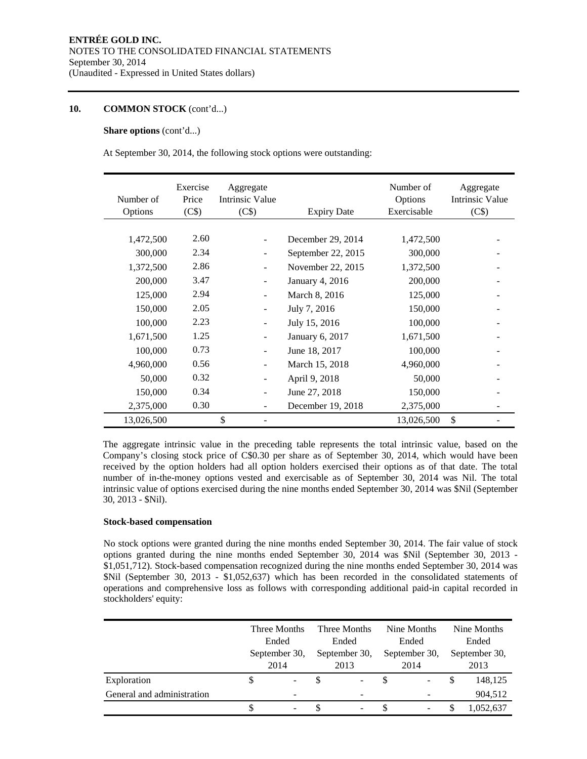### **10. COMMON STOCK** (cont'd...)

#### **Share options** (cont'd...)

At September 30, 2014, the following stock options were outstanding:

| Number of<br>Options | Exercise<br>Price<br>(C\$) | Aggregate<br>Intrinsic Value<br>(C\$) | <b>Expiry Date</b> | Number of<br>Options<br>Exercisable | Aggregate<br><b>Intrinsic Value</b><br>(C\$) |
|----------------------|----------------------------|---------------------------------------|--------------------|-------------------------------------|----------------------------------------------|
|                      |                            |                                       |                    |                                     |                                              |
| 1,472,500            | 2.60                       | $\overline{\phantom{a}}$              | December 29, 2014  | 1,472,500                           |                                              |
| 300,000              | 2.34                       | ۰                                     | September 22, 2015 | 300,000                             |                                              |
| 1,372,500            | 2.86                       | $\overline{\phantom{a}}$              | November 22, 2015  | 1,372,500                           |                                              |
| 200,000              | 3.47                       | $\overline{\phantom{a}}$              | January 4, 2016    | 200,000                             |                                              |
| 125,000              | 2.94                       | $\overline{\phantom{a}}$              | March 8, 2016      | 125,000                             |                                              |
| 150,000              | 2.05                       | $\overline{\phantom{a}}$              | July 7, 2016       | 150,000                             |                                              |
| 100,000              | 2.23                       | $\overline{\phantom{a}}$              | July 15, 2016      | 100,000                             |                                              |
| 1,671,500            | 1.25                       | $\overline{\phantom{a}}$              | January 6, 2017    | 1,671,500                           |                                              |
| 100,000              | 0.73                       | $\overline{\phantom{a}}$              | June 18, 2017      | 100,000                             |                                              |
| 4,960,000            | 0.56                       | $\overline{\phantom{a}}$              | March 15, 2018     | 4,960,000                           |                                              |
| 50,000               | 0.32                       | $\overline{\phantom{a}}$              | April 9, 2018      | 50,000                              |                                              |
| 150,000              | 0.34                       | $\blacksquare$                        | June 27, 2018      | 150,000                             |                                              |
| 2,375,000            | 0.30                       |                                       | December 19, 2018  | 2,375,000                           |                                              |
| 13,026,500           |                            | \$                                    |                    | 13,026,500                          | \$                                           |

The aggregate intrinsic value in the preceding table represents the total intrinsic value, based on the Company's closing stock price of C\$0.30 per share as of September 30, 2014, which would have been received by the option holders had all option holders exercised their options as of that date. The total number of in-the-money options vested and exercisable as of September 30, 2014 was Nil. The total intrinsic value of options exercised during the nine months ended September 30, 2014 was \$Nil (September 30, 2013 - \$Nil).

#### **Stock-based compensation**

No stock options were granted during the nine months ended September 30, 2014. The fair value of stock options granted during the nine months ended September 30, 2014 was \$Nil (September 30, 2013 - \$1,051,712). Stock-based compensation recognized during the nine months ended September 30, 2014 was \$Nil (September 30, 2013 - \$1,052,637) which has been recorded in the consolidated statements of operations and comprehensive loss as follows with corresponding additional paid-in capital recorded in stockholders' equity:

|                            |  | Three Months                   |  | Three Months  |   | Nine Months              |               | Nine Months |  |
|----------------------------|--|--------------------------------|--|---------------|---|--------------------------|---------------|-------------|--|
|                            |  | Ended<br>September 30,<br>2014 |  | Ended         |   | Ended                    |               | Ended       |  |
|                            |  |                                |  | September 30, |   | September 30,            | September 30, |             |  |
|                            |  |                                |  | 2013          |   | 2014                     | 2013          |             |  |
| Exploration                |  |                                |  | ۰.            | S | $\overline{\phantom{a}}$ | S             | 148,125     |  |
| General and administration |  | -                              |  | -             |   |                          |               | 904,512     |  |
|                            |  |                                |  | ۰             |   | $\overline{\phantom{0}}$ |               | 1,052,637   |  |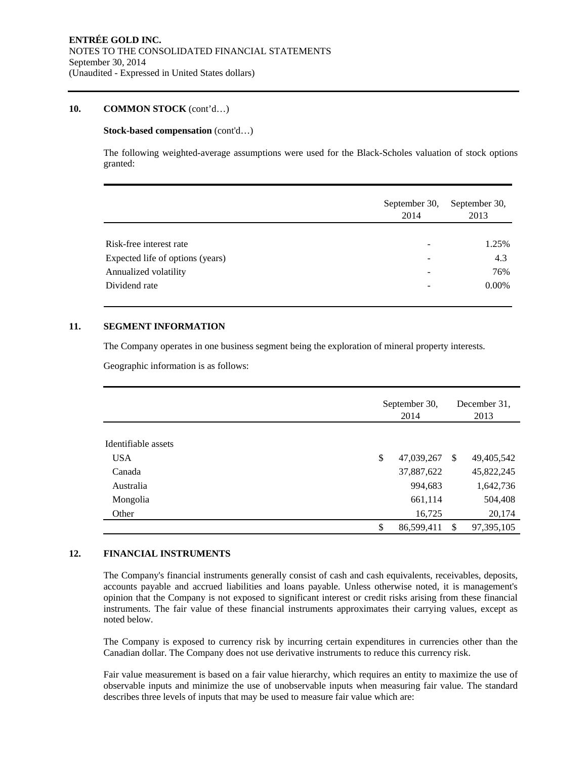#### **10. COMMON STOCK** (cont'd…)

#### **Stock-based compensation** (cont'd…)

The following weighted-average assumptions were used for the Black-Scholes valuation of stock options granted:

|                                  | September 30,<br>2014 | September 30,<br>2013 |
|----------------------------------|-----------------------|-----------------------|
|                                  |                       |                       |
| Risk-free interest rate          |                       | 1.25%                 |
| Expected life of options (years) |                       | 4.3                   |
| Annualized volatility            |                       | 76%                   |
| Dividend rate                    |                       | $0.00\%$              |
|                                  |                       |                       |

#### **11. SEGMENT INFORMATION**

The Company operates in one business segment being the exploration of mineral property interests.

Geographic information is as follows:

|                     | September 30,<br>2014 |               | December 31.<br>2013 |
|---------------------|-----------------------|---------------|----------------------|
| Identifiable assets |                       |               |                      |
|                     |                       |               |                      |
| <b>USA</b>          | \$<br>47,039,267      | -S            | 49,405,542           |
| Canada              | 37,887,622            |               | 45,822,245           |
| Australia           | 994,683               |               | 1,642,736            |
| Mongolia            | 661,114               |               | 504,408              |
| Other               | 16,725                |               | 20,174               |
|                     | \$<br>86,599,411      | <sup>\$</sup> | 97,395,105           |

# **12. FINANCIAL INSTRUMENTS**

The Company's financial instruments generally consist of cash and cash equivalents, receivables, deposits, accounts payable and accrued liabilities and loans payable. Unless otherwise noted, it is management's opinion that the Company is not exposed to significant interest or credit risks arising from these financial instruments. The fair value of these financial instruments approximates their carrying values, except as noted below.

The Company is exposed to currency risk by incurring certain expenditures in currencies other than the Canadian dollar. The Company does not use derivative instruments to reduce this currency risk.

Fair value measurement is based on a fair value hierarchy, which requires an entity to maximize the use of observable inputs and minimize the use of unobservable inputs when measuring fair value. The standard describes three levels of inputs that may be used to measure fair value which are: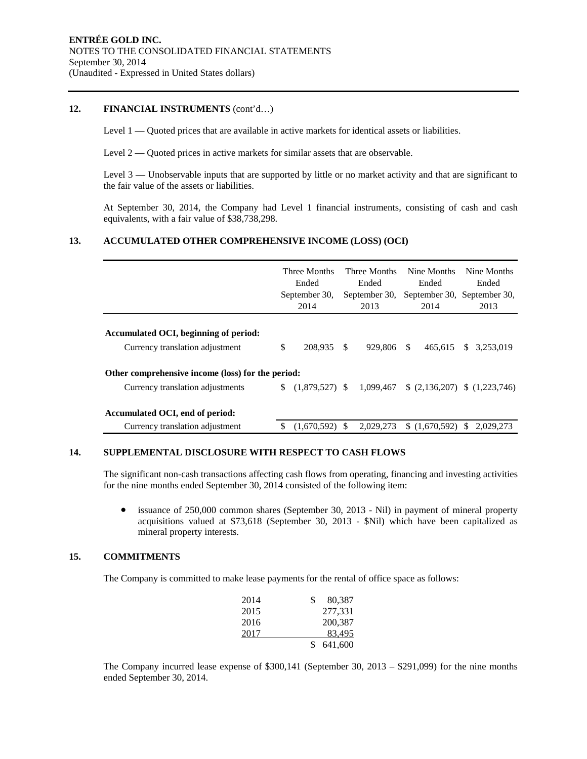#### **12. FINANCIAL INSTRUMENTS** (cont'd…)

Level 1 — Quoted prices that are available in active markets for identical assets or liabilities.

Level 2 — Quoted prices in active markets for similar assets that are observable.

Level 3 — Unobservable inputs that are supported by little or no market activity and that are significant to the fair value of the assets or liabilities.

At September 30, 2014, the Company had Level 1 financial instruments, consisting of cash and cash equivalents, with a fair value of \$38,738,298.

# **13. ACCUMULATED OTHER COMPREHENSIVE INCOME (LOSS) (OCI)**

|                                                                                       | Three Months<br>Ended<br>September 30,<br>2014 |                  | Three Months<br>Ended<br>September 30,<br>2013 |           | Nine Months<br>Ended<br>September 30, September 30,<br>2014 |               |               | Nine Months<br>Ended.<br>2013 |
|---------------------------------------------------------------------------------------|------------------------------------------------|------------------|------------------------------------------------|-----------|-------------------------------------------------------------|---------------|---------------|-------------------------------|
| Accumulated OCI, beginning of period:<br>Currency translation adjustment              | \$                                             | 208,935          | <sup>\$</sup>                                  | 929,806   | <sup>\$</sup>                                               | 465.615       | <b>S</b>      | 3.253.019                     |
| Other comprehensive income (loss) for the period:<br>Currency translation adjustments | S.                                             | $(1,879,527)$ \$ |                                                | 1.099.467 |                                                             | (2,136,207)   |               | (1.223.746)                   |
| Accumulated OCI, end of period:<br>Currency translation adjustment                    | \$.                                            | $(1,670,592)$ \$ |                                                | 2.029.273 |                                                             | \$(1,670,592) | <sup>\$</sup> | 2.029.273                     |

#### **14. SUPPLEMENTAL DISCLOSURE WITH RESPECT TO CASH FLOWS**

The significant non-cash transactions affecting cash flows from operating, financing and investing activities for the nine months ended September 30, 2014 consisted of the following item:

 issuance of 250,000 common shares (September 30, 2013 - Nil) in payment of mineral property acquisitions valued at \$73,618 (September 30, 2013 - \$Nil) which have been capitalized as mineral property interests.

#### **15. COMMITMENTS**

The Company is committed to make lease payments for the rental of office space as follows:

| 2014 | 80,387  |
|------|---------|
| 2015 | 277,331 |
| 2016 | 200,387 |
| 2017 | 83,495  |
|      | 641,600 |

The Company incurred lease expense of \$300,141 (September 30, 2013 – \$291,099) for the nine months ended September 30, 2014.